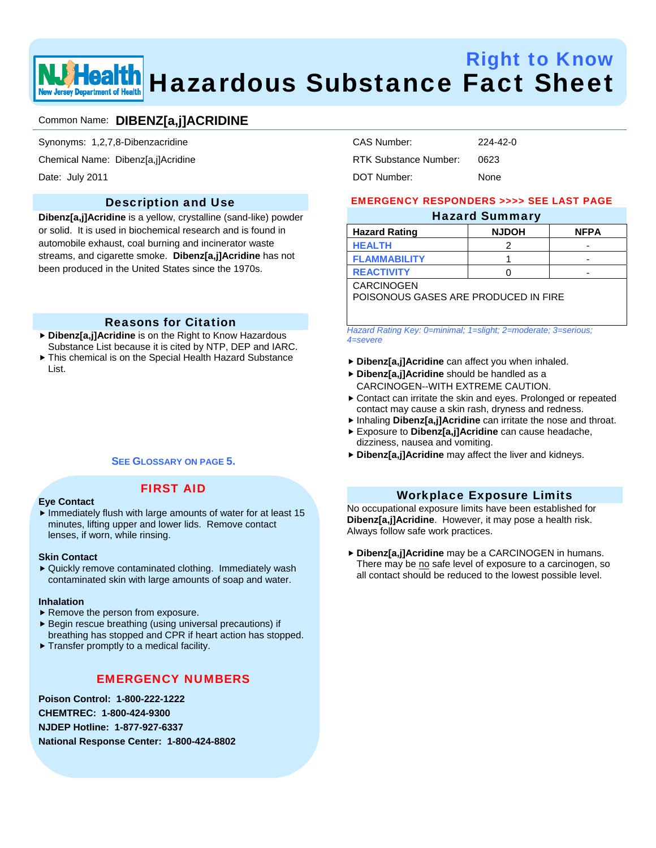

# Right to Know **Health Hazardous Substance Fact Sheet**

# Common Name: **DIBENZ[a,j]ACRIDINE**

Synonyms: 1,2,7,8-Dibenzacridine Chemical Name: Dibenz[a,j]Acridine Date: July 2011

# Description and Use

**Dibenz[a,j]Acridine** is a yellow, crystalline (sand-like) powder or solid. It is used in biochemical research and is found in automobile exhaust, coal burning and incinerator waste streams, and cigarette smoke. **Dibenz[a,j]Acridine** has not been produced in the United States since the 1970s.

# Reasons for Citation

- **Dibenz[a,j]Acridine** is on the Right to Know Hazardous Substance List because it is cited by NTP, DEP and IARC.
- $\blacktriangleright$  This chemical is on the Special Health Hazard Substance List.

#### **SEE GLOSSARY ON PAGE 5.**

# FIRST AID

#### **Eye Contact**

 $\blacktriangleright$  Immediately flush with large amounts of water for at least 15 minutes, lifting upper and lower lids. Remove contact lenses, if worn, while rinsing.

#### **Skin Contact**

 $\blacktriangleright$  Quickly remove contaminated clothing. Immediately wash contaminated skin with large amounts of soap and water.

#### **Inhalation**

- $\blacktriangleright$  Remove the person from exposure.
- $\blacktriangleright$  Begin rescue breathing (using universal precautions) if breathing has stopped and CPR if heart action has stopped.
- $\blacktriangleright$  Transfer promptly to a medical facility.

# EMERGENCY NUMBERS

**Poison Control: 1-800-222-1222 CHEMTREC: 1-800-424-9300 NJDEP Hotline: 1-877-927-6337 National Response Center: 1-800-424-8802** 

| CAS Number:           | $224 - 42 - 0$ |
|-----------------------|----------------|
| RTK Substance Number: | 0623           |
| DOT Number:           | None           |

#### EMERGENCY RESPONDERS >>>> SEE LAST PAGE

# Hazard Summary

| <b>Hazard Rating</b> | <b>NJDOH</b> | <b>NFPA</b> |
|----------------------|--------------|-------------|
| <b>HEALTH</b>        |              | -           |
| <b>FLAMMABILITY</b>  |              | -           |
| <b>REACTIVITY</b>    |              | -           |

CARCINOGEN

POISONOUS GASES ARE PRODUCED IN FIRE

*Hazard Rating Key: 0=minimal; 1=slight; 2=moderate; 3=serious; 4=severe*

- **Dibenz[a,j]Acridine** can affect you when inhaled.
- **Pubenz[a,j]Acridine** should be handled as a CARCINOGEN--WITH EXTREME CAUTION.
- $\triangleright$  Contact can irritate the skin and eyes. Prolonged or repeated contact may cause a skin rash, dryness and redness.
- **F** Inhaling **Dibenz[a,j]Acridine** can irritate the nose and throat. Exposure to **Dibenz[a,j]Acridine** can cause headache,
- dizziness, nausea and vomiting.
- **Dibenz[a,j]Acridine** may affect the liver and kidneys.

# Workplace Exposure Limits

No occupational exposure limits have been established for **Dibenz[a,j]Acridine**. However, it may pose a health risk. Always follow safe work practices.

**Dibenz[a,j]Acridine** may be a CARCINOGEN in humans. There may be no safe level of exposure to a carcinogen, so all contact should be reduced to the lowest possible level.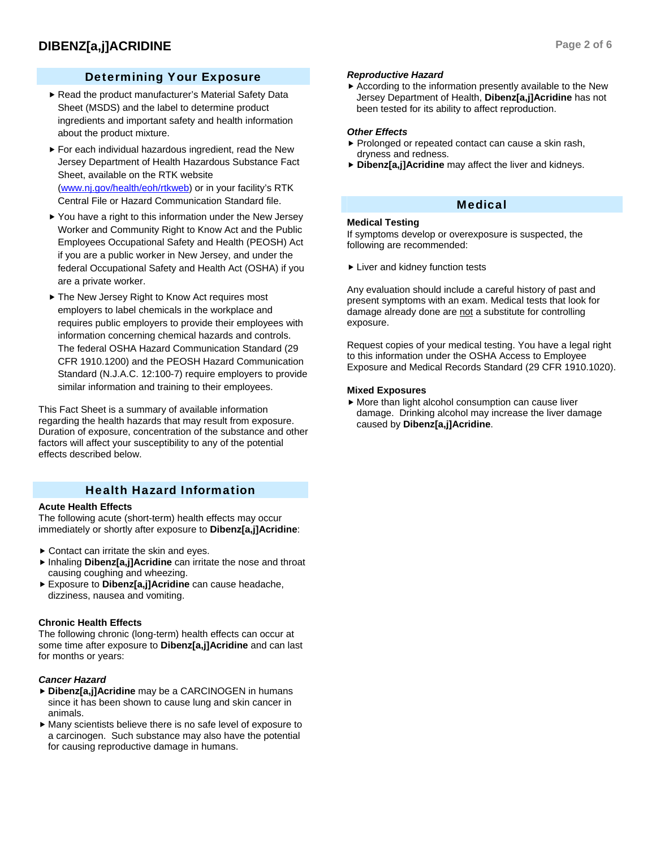# Determining Your Exposure

- Read the product manufacturer's Material Safety Data Sheet (MSDS) and the label to determine product ingredients and important safety and health information about the product mixture.
- $\blacktriangleright$  For each individual hazardous ingredient, read the New Jersey Department of Health Hazardous Substance Fact Sheet, available on the RTK website (www.nj.gov/health/eoh/rtkweb) or in your facility's RTK Central File or Hazard Communication Standard file.
- $\blacktriangleright$  You have a right to this information under the New Jersey Worker and Community Right to Know Act and the Public Employees Occupational Safety and Health (PEOSH) Act if you are a public worker in New Jersey, and under the federal Occupational Safety and Health Act (OSHA) if you are a private worker.
- ▶ The New Jersey Right to Know Act requires most employers to label chemicals in the workplace and requires public employers to provide their employees with information concerning chemical hazards and controls. The federal OSHA Hazard Communication Standard (29 CFR 1910.1200) and the PEOSH Hazard Communication Standard (N.J.A.C. 12:100-7) require employers to provide similar information and training to their employees.

This Fact Sheet is a summary of available information regarding the health hazards that may result from exposure. Duration of exposure, concentration of the substance and other factors will affect your susceptibility to any of the potential effects described below.

# Health Hazard Information

#### **Acute Health Effects**

The following acute (short-term) health effects may occur immediately or shortly after exposure to **Dibenz[a,j]Acridine**:

- $\triangleright$  Contact can irritate the skin and eyes.
- **F** Inhaling **Dibenz[a,j]Acridine** can irritate the nose and throat causing coughing and wheezing.
- **F** Exposure to **Dibenz[a,j]Acridine** can cause headache, dizziness, nausea and vomiting.

#### **Chronic Health Effects**

The following chronic (long-term) health effects can occur at some time after exposure to **Dibenz[a,j]Acridine** and can last for months or years:

#### *Cancer Hazard*

- **Example 2 Fig. in Dibenz[a,j]Acridine** may be a CARCINOGEN in humans since it has been shown to cause lung and skin cancer in animals.
- $\blacktriangleright$  Many scientists believe there is no safe level of exposure to a carcinogen. Such substance may also have the potential for causing reproductive damage in humans.

#### *Reproductive Hazard*

 $\blacktriangleright$  According to the information presently available to the New Jersey Department of Health, **Dibenz[a,j]Acridine** has not been tested for its ability to affect reproduction.

#### *Other Effects*

- ▶ Prolonged or repeated contact can cause a skin rash, dryness and redness.
- **Dibenz[a,j]Acridine** may affect the liver and kidneys.

### Medical

#### **Medical Testing**

If symptoms develop or overexposure is suspected, the following are recommended:

 $\blacktriangleright$  Liver and kidney function tests

Any evaluation should include a careful history of past and present symptoms with an exam. Medical tests that look for damage already done are not a substitute for controlling exposure.

Request copies of your medical testing. You have a legal right to this information under the OSHA Access to Employee Exposure and Medical Records Standard (29 CFR 1910.1020).

#### **Mixed Exposures**

 $\blacktriangleright$  More than light alcohol consumption can cause liver damage. Drinking alcohol may increase the liver damage caused by **Dibenz[a,j]Acridine**.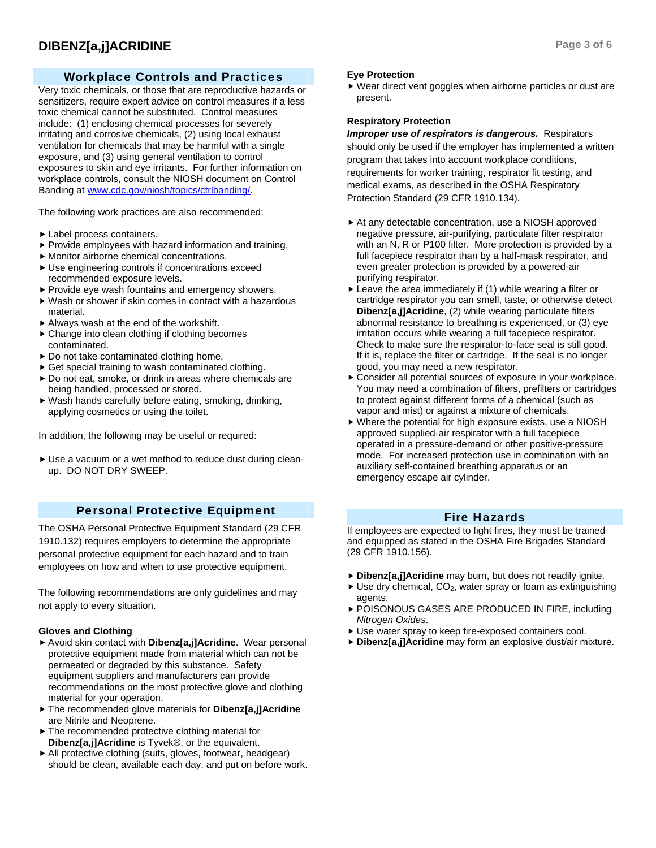# Workplace Controls and Practices

Very toxic chemicals, or those that are reproductive hazards or sensitizers, require expert advice on control measures if a less toxic chemical cannot be substituted. Control measures include: (1) enclosing chemical processes for severely irritating and corrosive chemicals, (2) using local exhaust ventilation for chemicals that may be harmful with a single exposure, and (3) using general ventilation to control exposures to skin and eye irritants. For further information on workplace controls, consult the NIOSH document on Control Banding at www.cdc.gov/niosh/topics/ctrlbanding/.

The following work practices are also recommended:

- $\blacktriangleright$  Label process containers.
- $\blacktriangleright$  Provide employees with hazard information and training.
- $\blacktriangleright$  Monitor airborne chemical concentrations.
- $\blacktriangleright$  Use engineering controls if concentrations exceed recommended exposure levels.
- $\blacktriangleright$  Provide eye wash fountains and emergency showers.
- $\blacktriangleright$  Wash or shower if skin comes in contact with a hazardous material.
- $\blacktriangleright$  Always wash at the end of the workshift.
- $\triangleright$  Change into clean clothing if clothing becomes contaminated.
- $\triangleright$  Do not take contaminated clothing home.
- $\triangleright$  Get special training to wash contaminated clothing.
- $\triangleright$  Do not eat, smoke, or drink in areas where chemicals are being handled, processed or stored.
- $\blacktriangleright$  Wash hands carefully before eating, smoking, drinking, applying cosmetics or using the toilet.

In addition, the following may be useful or required:

Use a vacuum or a wet method to reduce dust during cleanup. DO NOT DRY SWEEP.

# Personal Protective Equipment

The OSHA Personal Protective Equipment Standard (29 CFR 1910.132) requires employers to determine the appropriate personal protective equipment for each hazard and to train employees on how and when to use protective equipment.

The following recommendations are only guidelines and may not apply to every situation.

#### **Gloves and Clothing**

- ▶ Avoid skin contact with **Dibenz[a,j]Acridine**. Wear personal protective equipment made from material which can not be permeated or degraded by this substance. Safety equipment suppliers and manufacturers can provide recommendations on the most protective glove and clothing material for your operation.
- $\triangleright$  The recommended glove materials for **Dibenz[a,j]Acridine** are Nitrile and Neoprene.
- $\blacktriangleright$  The recommended protective clothing material for **Dibenz[a,j]Acridine** is Tyvek®, or the equivalent.
- All protective clothing (suits, gloves, footwear, headgear) should be clean, available each day, and put on before work.

#### **Eye Protection**

 $\blacktriangleright$  Wear direct vent goggles when airborne particles or dust are present.

#### **Respiratory Protection**

*Improper use of respirators is dangerous.* Respirators should only be used if the employer has implemented a written program that takes into account workplace conditions, requirements for worker training, respirator fit testing, and medical exams, as described in the OSHA Respiratory Protection Standard (29 CFR 1910.134).

- $\triangleright$  At any detectable concentration, use a NIOSH approved negative pressure, air-purifying, particulate filter respirator with an N, R or P100 filter. More protection is provided by a full facepiece respirator than by a half-mask respirator, and even greater protection is provided by a powered-air purifying respirator.
- $\blacktriangleright$  Leave the area immediately if (1) while wearing a filter or cartridge respirator you can smell, taste, or otherwise detect **Dibenz[a,j]Acridine**, (2) while wearing particulate filters abnormal resistance to breathing is experienced, or (3) eye irritation occurs while wearing a full facepiece respirator. Check to make sure the respirator-to-face seal is still good. If it is, replace the filter or cartridge. If the seal is no longer good, you may need a new respirator.
- $\triangleright$  Consider all potential sources of exposure in your workplace. You may need a combination of filters, prefilters or cartridges to protect against different forms of a chemical (such as vapor and mist) or against a mixture of chemicals.
- $\blacktriangleright$  Where the potential for high exposure exists, use a NIOSH approved supplied-air respirator with a full facepiece operated in a pressure-demand or other positive-pressure mode. For increased protection use in combination with an auxiliary self-contained breathing apparatus or an emergency escape air cylinder.

# Fire Hazards

If employees are expected to fight fires, they must be trained and equipped as stated in the OSHA Fire Brigades Standard (29 CFR 1910.156).

- **Dibenz[a,j]Acridine** may burn, but does not readily ignite.
- $\triangleright$  Use dry chemical, CO<sub>2</sub>, water spray or foam as extinguishing agents.
- ▶ POISONOUS GASES ARE PRODUCED IN FIRE, including *Nitrogen Oxides*.
- Use water spray to keep fire-exposed containers cool.
- **Dibenz[a,j]Acridine** may form an explosive dust/air mixture.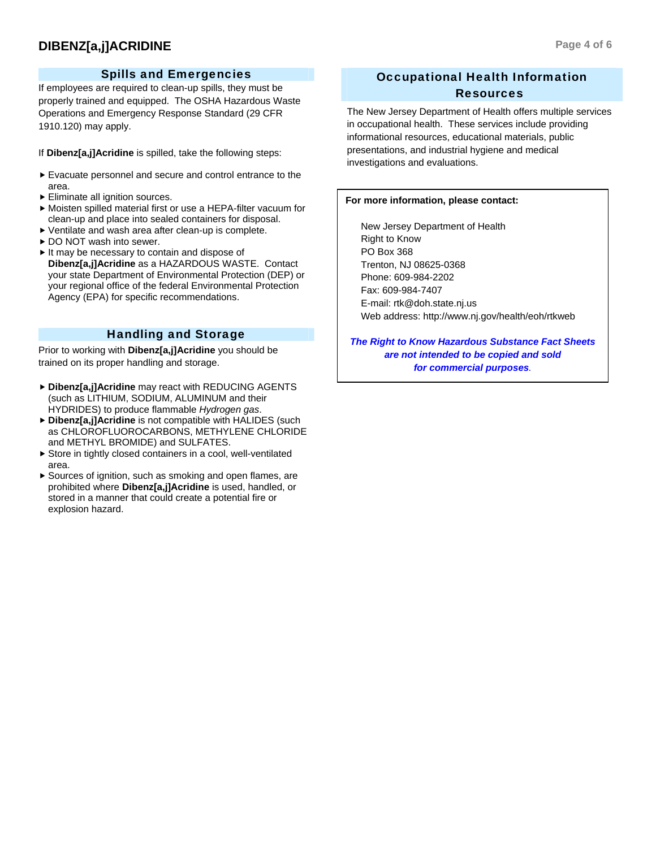# **DIBENZ[a,j]ACRIDINE** Page 4 of 6

# Spills and Emergencies

If employees are required to clean-up spills, they must be properly trained and equipped. The OSHA Hazardous Waste Operations and Emergency Response Standard (29 CFR 1910.120) may apply.

If **Dibenz[a,j]Acridine** is spilled, take the following steps:

- $\blacktriangleright$  Evacuate personnel and secure and control entrance to the area.
- $\blacktriangleright$  Eliminate all ignition sources.
- $\triangleright$  Moisten spilled material first or use a HEPA-filter vacuum for clean-up and place into sealed containers for disposal.
- $\blacktriangleright$  Ventilate and wash area after clean-up is complete.
- ▶ DO NOT wash into sewer.
- $\blacktriangleright$  It may be necessary to contain and dispose of **Dibenz[a,j]Acridine** as a HAZARDOUS WASTE. Contact your state Department of Environmental Protection (DEP) or your regional office of the federal Environmental Protection Agency (EPA) for specific recommendations.

# Handling and Storage

Prior to working with **Dibenz[a,j]Acridine** you should be trained on its proper handling and storage.

- **Dibenz[a,j]Acridine** may react with REDUCING AGENTS (such as LITHIUM, SODIUM, ALUMINUM and their HYDRIDES) to produce flammable *Hydrogen gas*.
- **Dibenz[a,j]Acridine** is not compatible with HALIDES (such as CHLOROFLUOROCARBONS, METHYLENE CHLORIDE and METHYL BROMIDE) and SULFATES.
- Store in tightly closed containers in a cool, well-ventilated area.
- $\blacktriangleright$  Sources of ignition, such as smoking and open flames, are prohibited where **Dibenz[a,j]Acridine** is used, handled, or stored in a manner that could create a potential fire or explosion hazard.

# Occupational Health Information Resources

The New Jersey Department of Health offers multiple services in occupational health. These services include providing informational resources, educational materials, public presentations, and industrial hygiene and medical investigations and evaluations.

#### **For more information, please contact:**

 New Jersey Department of Health Right to Know PO Box 368 Trenton, NJ 08625-0368 Phone: 609-984-2202 Fax: 609-984-7407 E-mail: rtk@doh.state.nj.us Web address: http://www.nj.gov/health/eoh/rtkweb

*The Right to Know Hazardous Substance Fact Sheets are not intended to be copied and sold for commercial purposes.*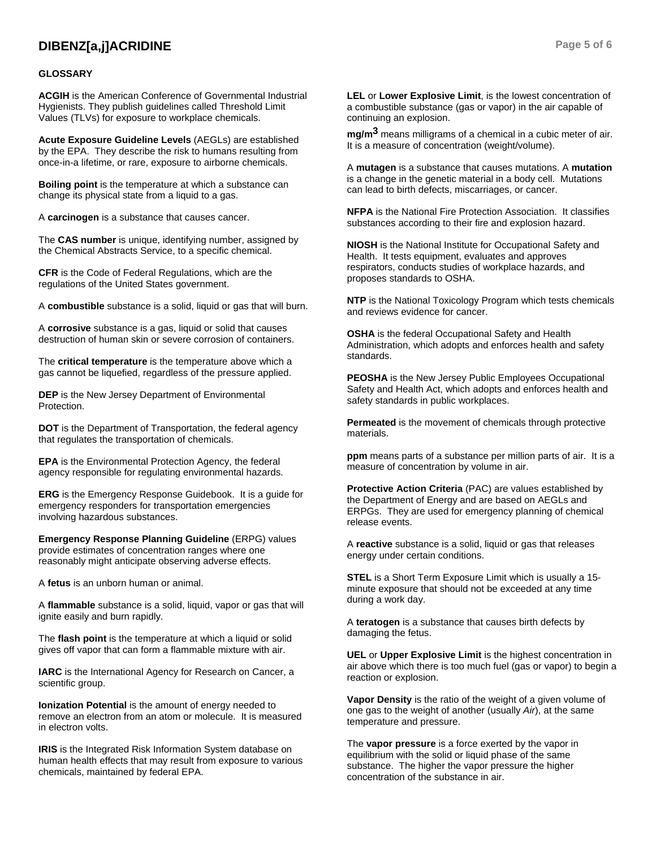# **DIBENZ[a,j]ACRIDINE** Page 5 of 6

#### **GLOSSARY**

**ACGIH** is the American Conference of Governmental Industrial Hygienists. They publish guidelines called Threshold Limit Values (TLVs) for exposure to workplace chemicals.

**Acute Exposure Guideline Levels** (AEGLs) are established by the EPA. They describe the risk to humans resulting from once-in-a lifetime, or rare, exposure to airborne chemicals.

**Boiling point** is the temperature at which a substance can change its physical state from a liquid to a gas.

A **carcinogen** is a substance that causes cancer.

The **CAS number** is unique, identifying number, assigned by the Chemical Abstracts Service, to a specific chemical.

**CFR** is the Code of Federal Regulations, which are the regulations of the United States government.

A **combustible** substance is a solid, liquid or gas that will burn.

A **corrosive** substance is a gas, liquid or solid that causes destruction of human skin or severe corrosion of containers.

The **critical temperature** is the temperature above which a gas cannot be liquefied, regardless of the pressure applied.

**DEP** is the New Jersey Department of Environmental Protection.

**DOT** is the Department of Transportation, the federal agency that regulates the transportation of chemicals.

**EPA** is the Environmental Protection Agency, the federal agency responsible for regulating environmental hazards.

**ERG** is the Emergency Response Guidebook. It is a guide for emergency responders for transportation emergencies involving hazardous substances.

**Emergency Response Planning Guideline** (ERPG) values provide estimates of concentration ranges where one reasonably might anticipate observing adverse effects.

A **fetus** is an unborn human or animal.

A **flammable** substance is a solid, liquid, vapor or gas that will ignite easily and burn rapidly.

The **flash point** is the temperature at which a liquid or solid gives off vapor that can form a flammable mixture with air.

**IARC** is the International Agency for Research on Cancer, a scientific group.

**Ionization Potential** is the amount of energy needed to remove an electron from an atom or molecule. It is measured in electron volts.

**IRIS** is the Integrated Risk Information System database on human health effects that may result from exposure to various chemicals, maintained by federal EPA.

**LEL** or **Lower Explosive Limit**, is the lowest concentration of a combustible substance (gas or vapor) in the air capable of continuing an explosion.

**mg/m3** means milligrams of a chemical in a cubic meter of air. It is a measure of concentration (weight/volume).

A **mutagen** is a substance that causes mutations. A **mutation** is a change in the genetic material in a body cell. Mutations can lead to birth defects, miscarriages, or cancer.

**NFPA** is the National Fire Protection Association. It classifies substances according to their fire and explosion hazard.

**NIOSH** is the National Institute for Occupational Safety and Health. It tests equipment, evaluates and approves respirators, conducts studies of workplace hazards, and proposes standards to OSHA.

**NTP** is the National Toxicology Program which tests chemicals and reviews evidence for cancer.

**OSHA** is the federal Occupational Safety and Health Administration, which adopts and enforces health and safety standards.

**PEOSHA** is the New Jersey Public Employees Occupational Safety and Health Act, which adopts and enforces health and safety standards in public workplaces.

**Permeated** is the movement of chemicals through protective materials.

**ppm** means parts of a substance per million parts of air. It is a measure of concentration by volume in air.

**Protective Action Criteria** (PAC) are values established by the Department of Energy and are based on AEGLs and ERPGs. They are used for emergency planning of chemical release events.

A **reactive** substance is a solid, liquid or gas that releases energy under certain conditions.

**STEL** is a Short Term Exposure Limit which is usually a 15 minute exposure that should not be exceeded at any time during a work day.

A **teratogen** is a substance that causes birth defects by damaging the fetus.

**UEL** or **Upper Explosive Limit** is the highest concentration in air above which there is too much fuel (gas or vapor) to begin a reaction or explosion.

**Vapor Density** is the ratio of the weight of a given volume of one gas to the weight of another (usually *Air*), at the same temperature and pressure.

The **vapor pressure** is a force exerted by the vapor in equilibrium with the solid or liquid phase of the same substance. The higher the vapor pressure the higher concentration of the substance in air.